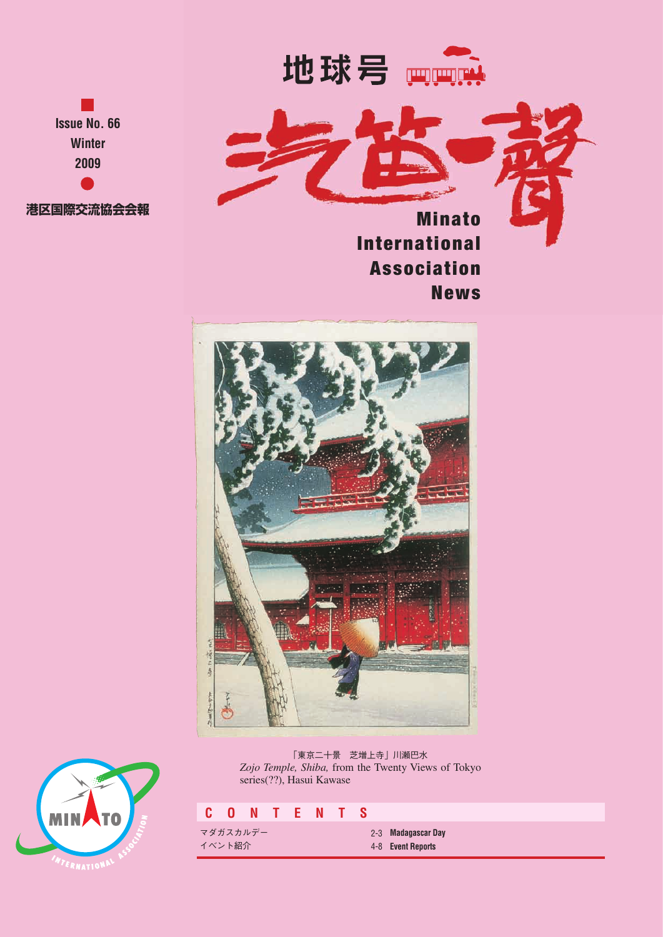

**Issue No. 66 Winter 2009 港区国際交流協会会報**

**Minato International Association** News



「東京二十景 芝増上寺」川瀬巴水 *Zojo Temple, Shiba,* from the Twenty Views of Tokyo series(??), Hasui Kawase

# **C O N T E N T S**

マダガスカルデー イベント紹介

**Madagascar Day** 2-3 **Event Reports** 4-8

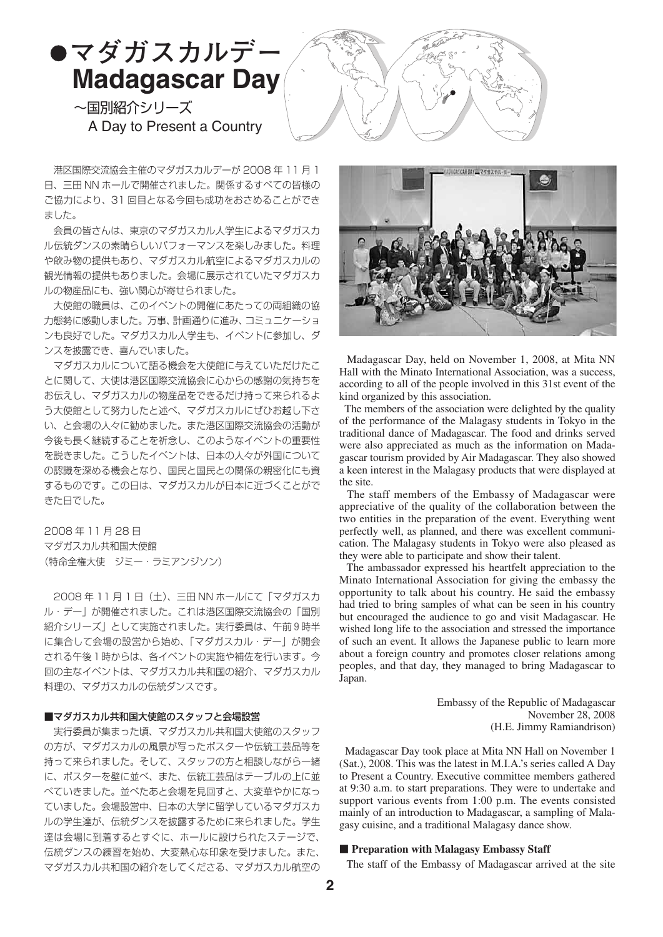

 港区国際交流協会主催のマダガスカルデーが 2008 年 11 月 1 日、三田 NN ホールで開催されました。関係するすべての皆様の ご協力により、31 回目となる今回も成功をおさめることができ ました。

 会員の皆さんは、東京のマダガスカル人学生によるマダガスカ ル伝統ダンスの素晴らしいパフォーマンスを楽しみました。料理 や飲み物の提供もあり、マダガスカル航空によるマダガスカルの 観光情報の提供もありました。会場に展示されていたマダガスカ ルの物産品にも、強い関心が寄せられました。

 大使館の職員は、このイベントの開催にあたっての両組織の協 力態勢に感動しました。万事、計画通りに進み、コミュニケーショ ンも良好でした。マダガスカル人学生も、イベントに参加し、ダ ンスを披露でき、喜んでいました。

 マダガスカルについて語る機会を大使館に与えていただけたこ とに関して、大使は港区国際交流協会に心からの感謝の気持ちを お伝えし、マダガスカルの物産品をできるだけ持って来られるよ う大使館として努力したと述べ、マダガスカルにぜひお越し下さ い、と会場の人々に勧めました。また港区国際交流協会の活動が 今後も長く継続することを祈念し、このようなイベントの重要性 を説きました。こうしたイベントは、日本の人々が外国について の認識を深める機会となり、国民と国民との関係の親密化にも資 するものです。この日は、マダガスカルが日本に近づくことがで きた日でした。

2008 年 11 月 28 日 マダガスカル共和国大使館 (特命全権大使 ジミー・ラミアンジソン)

2008年11月1日 (土)、三田 NN ホールにて「マダガスカ ル・デー」が開催されました。これは港区国際交流協会の「国別 紹介シリーズ」として実施されました。実行委員は、午前9時半 に集合して会場の設営から始め、「マダガスカル・デー」が開会 される午後1時からは、各イベントの実施や補佐を行います。今 回の主なイベントは、マダガスカル共和国の紹介、マダガスカル 料理の、マダガスカルの伝統ダンスです。

# ■マダガスカル共和国大使館のスタッフと会場設営

 実行委員が集まった頃、マダガスカル共和国大使館のスタッフ の方が、マダガスカルの風景が写ったポスターや伝統工芸品等を 持って来られました。そして、スタッフの方と相談しながら一緒 に、ポスターを壁に並べ、また、伝統工芸品はテーブルの上に並 べていきました。並べたあと会場を見回すと、大変華やかになっ ていました。会場設営中、日本の大学に留学しているマダガスカ ルの学生達が、伝統ダンスを披露するために来られました。学生 達は会場に到着するとすぐに、ホールに設けられたステージで、 伝統ダンスの練習を始め、大変熱心な印象を受けました。また、 マダガスカル共和国の紹介をしてくださる、マダガスカル航空の



 Madagascar Day, held on November 1, 2008, at Mita NN Hall with the Minato International Association, was a success, according to all of the people involved in this 31st event of the kind organized by this association.

 The members of the association were delighted by the quality of the performance of the Malagasy students in Tokyo in the traditional dance of Madagascar. The food and drinks served were also appreciated as much as the information on Madagascar tourism provided by Air Madagascar. They also showed a keen interest in the Malagasy products that were displayed at the site.

 The staff members of the Embassy of Madagascar were appreciative of the quality of the collaboration between the two entities in the preparation of the event. Everything went perfectly well, as planned, and there was excellent communication. The Malagasy students in Tokyo were also pleased as they were able to participate and show their talent.

 The ambassador expressed his heartfelt appreciation to the Minato International Association for giving the embassy the opportunity to talk about his country. He said the embassy had tried to bring samples of what can be seen in his country but encouraged the audience to go and visit Madagascar. He wished long life to the association and stressed the importance of such an event. It allows the Japanese public to learn more about a foreign country and promotes closer relations among peoples, and that day, they managed to bring Madagascar to Japan.

> Embassy of the Republic of Madagascar November 28, 2008 (H.E. Jimmy Ramiandrison)

 Madagascar Day took place at Mita NN Hall on November 1 (Sat.), 2008. This was the latest in M.I.A.'s series called A Day to Present a Country. Executive committee members gathered at 9:30 a.m. to start preparations. They were to undertake and support various events from 1:00 p.m. The events consisted mainly of an introduction to Madagascar, a sampling of Malagasy cuisine, and a traditional Malagasy dance show.

### ■ **Preparation with Malagasy Embassy Staff**

The staff of the Embassy of Madagascar arrived at the site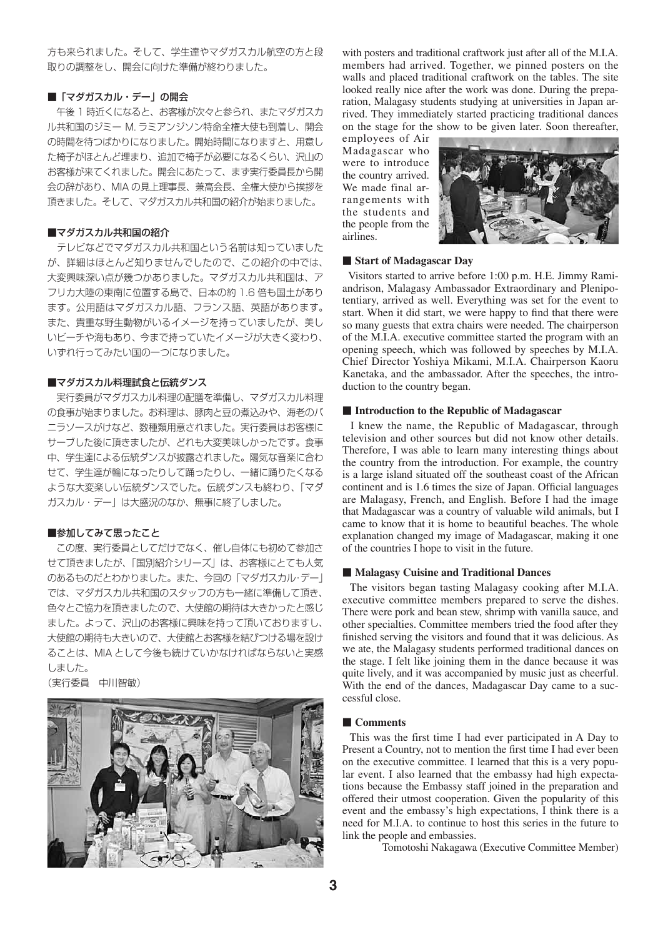方も来られました。そして、学生達やマダガスカル航空の方と段 取りの調整をし、開会に向けた準備が終わりました。

# ■「マダガスカル・デー」の開会

 午後 1 時近くになると、お客様が次々と参られ、またマダガスカ ル共和国のジミー M. ラミアンジソン特命全権大使も到着し、開会 の時間を待つばかりになりました。開始時間になりますと、用意し た椅子がほとんど埋まり、追加で椅子が必要になるくらい、沢山の お客様が来てくれました。開会にあたって、まず実行委員長から開 会の辞があり、MIA の見上理事長、兼高会長、全権大使から挨拶を 頂きました。そして、マダガスカル共和国の紹介が始まりました。

### ■マダガスカル共和国の紹介

 テレビなどでマダガスカル共和国という名前は知っていました が、詳細はほとんど知りませんでしたので、この紹介の中では、 大変興味深い点が幾つかありました。マダガスカル共和国は、ア フリカ大陸の東南に位置する島で、日本の約 1.6 倍も国土があり ます。公用語はマダガスカル語、フランス語、英語があります。 また、貴重な野生動物がいるイメージを持っていましたが、美し いビーチや海もあり、今まで持っていたイメージが大きく変わり、 いずれ行ってみたい国の一つになりました。

# ■マダガスカル料理試食と伝統ダンス

 実行委員がマダガスカル料理の配膳を準備し、マダガスカル料理 の食事が始まりました。お料理は、豚肉と豆の煮込みや、海老のバ ニラソースがけなど、数種類用意されました。実行委員はお客様に サーブした後に頂きましたが、どれも大変美味しかったです。食事 中、学生達による伝統ダンスが披露されました。陽気な音楽に合わ せて、学生達が輪になったりして踊ったりし、一緒に踊りたくなる ような大変楽しい伝統ダンスでした。伝統ダンスも終わり、「マダ ガスカル・デー」は大盛況のなか、無事に終了しました。

# ■参加してみて思ったこと

 この度、実行委員としてだけでなく、催し自体にも初めて参加さ せて頂きましたが、「国別紹介シリーズ」は、お客様にとても人気 のあるものだとわかりました。また、今回の「マダガスカル・デー」 では、マダガスカル共和国のスタッフの方も一緒に準備して頂き、 色々とご協力を頂きましたので、大使館の期待は大きかったと感じ ました。よって、沢山のお客様に興味を持って頂いておりますし、 大使館の期待も大きいので、大使館とお客様を結びつける場を設け ることは、MIA として今後も続けていかなければならないと実感 しました。

(実行委員 中川智敏)



with posters and traditional craftwork just after all of the M.I.A. members had arrived. Together, we pinned posters on the walls and placed traditional craftwork on the tables. The site looked really nice after the work was done. During the preparation, Malagasy students studying at universities in Japan arrived. They immediately started practicing traditional dances on the stage for the show to be given later. Soon thereafter,

employees of Air Madagascar who were to introduce the country arrived. We made final arrangements with the students and the people from the airlines.



### ■ **Start of Madagascar Day**

 Visitors started to arrive before 1:00 p.m. H.E. Jimmy Ramiandrison, Malagasy Ambassador Extraordinary and Plenipotentiary, arrived as well. Everything was set for the event to start. When it did start, we were happy to find that there were so many guests that extra chairs were needed. The chairperson of the M.I.A. executive committee started the program with an opening speech, which was followed by speeches by M.I.A. Chief Director Yoshiya Mikami, M.I.A. Chairperson Kaoru Kanetaka, and the ambassador. After the speeches, the introduction to the country began.

### ■ **Introduction to the Republic of Madagascar**

 I knew the name, the Republic of Madagascar, through television and other sources but did not know other details. Therefore, I was able to learn many interesting things about the country from the introduction. For example, the country is a large island situated off the southeast coast of the African continent and is 1.6 times the size of Japan. Official languages are Malagasy, French, and English. Before I had the image that Madagascar was a country of valuable wild animals, but I came to know that it is home to beautiful beaches. The whole explanation changed my image of Madagascar, making it one of the countries I hope to visit in the future.

### ■ **Malagasy Cuisine and Traditional Dances**

 The visitors began tasting Malagasy cooking after M.I.A. executive committee members prepared to serve the dishes. There were pork and bean stew, shrimp with vanilla sauce, and other specialties. Committee members tried the food after they finished serving the visitors and found that it was delicious. As we ate, the Malagasy students performed traditional dances on the stage. I felt like joining them in the dance because it was quite lively, and it was accompanied by music just as cheerful. With the end of the dances, Madagascar Day came to a successful close.

### ■ **Comments**

 This was the first time I had ever participated in A Day to Present a Country, not to mention the first time I had ever been on the executive committee. I learned that this is a very popular event. I also learned that the embassy had high expectations because the Embassy staff joined in the preparation and offered their utmost cooperation. Given the popularity of this event and the embassy's high expectations, I think there is a need for M.I.A. to continue to host this series in the future to link the people and embassies.

Tomotoshi Nakagawa (Executive Committee Member)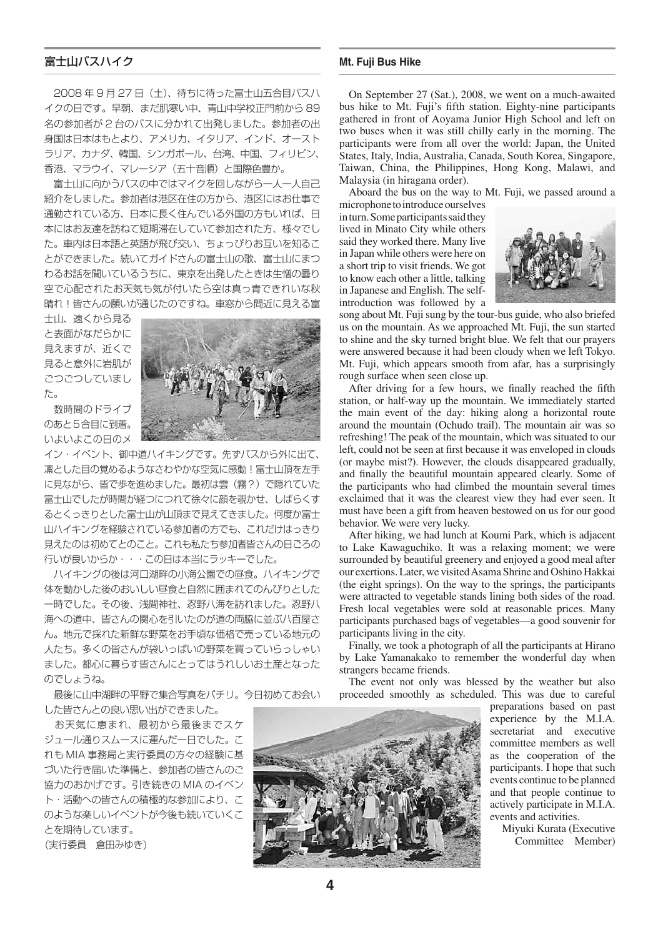# 富士山バスハイク

 2008 年 9 月 27 日(土)、待ちに待った富士山五合目バスハ イクの日です。早朝、まだ肌寒い中、青山中学校正門前から 89 名の参加者が 2 台のバスに分かれて出発しました。参加者の出 身国は日本はもとより、アメリカ、イタリア、インド、オースト ラリア、カナダ、韓国、シンガポール、台湾、中国、フィリピン、 香港、マラウイ、マレーシア(五十音順)と国際色豊か。

 富士山に向かうバスの中ではマイクを回しながら一人一人自己 紹介をしました。参加者は港区在住の方から、港区にはお仕事で 通勤されている方、日本に長く住んでいる外国の方もいれば、日 本にはお友達を訪ねて短期滞在していて参加された方、様々でし た。車内は日本語と英語が飛び交い、ちょっぴりお互いを知るこ とができました。続いてガイドさんの富士山の歌、富士山にまつ わるお話を聞いているうちに、東京を出発したときは生憎の曇り 空で心配されたお天気も気が付いたら空は真っ青できれいな秋 晴れ!皆さんの願いが通じたのですね。車窓から間近に見える富

士山、遠くから見る と表面がなだらかに 見えますが、近くで 見ると意外に岩肌が ごつごつしていまし た。

 数時間のドライブ のあと5合目に到着。 いよいよこの日のメ



イン・イベント、御中道ハイキングです。先ずバスから外に出て、 凛とした目の覚めるようなさわやかな空気に感動!富士山頂を左手 に見ながら、皆で歩を進めました。最初は雲(霧?)で隠れていた 富士山でしたが時間が経つにつれて徐々に顔を覗かせ、しばらくす るとくっきりとした富士山が山頂まで見えてきました。何度か富士 山ハイキングを経験されている参加者の方でも、これだけはっきり 見えたのは初めてとのこと。これも私たち参加者皆さんの日ごろの 行いが良いからか・・・この日は本当にラッキーでした。

 ハイキングの後は河口湖畔の小海公園での昼食。ハイキングで 体を動かした後のおいしい昼食と自然に囲まれてのんびりとした 一時でした。その後、浅間神社、忍野八海を訪れました。忍野八 海への道中、皆さんの関心を引いたのが道の両脇に並ぶ八百屋さ ん。地元で採れた新鮮な野菜をお手頃な価格で売っている地元の 人たち。多くの皆さんが袋いっぱいの野菜を買っていらっしゃい ました。都心に暮らす皆さんにとってはうれしいお土産となった のでしょうね。

 最後に山中湖畔の平野で集合写真をパチリ。今日初めてお会い した皆さんとの良い思い出ができました。

 お天気に恵まれ、最初から最後までスケ ジュール通りスムースに運んだ一日でした。こ れも MIA 事務局と実行委員の方々の経験に基 づいた行き届いた準備と、参加者の皆さんのご 協力のおかげです。引き続きの MIA のイベン ト・活動への皆さんの積極的な参加により、こ のような楽しいイベントが今後も続いていくこ とを期待しています。

(実行委員 倉田みゆき)

### **Mt. Fuji Bus Hike**

On September 27 (Sat.), 2008, we went on a much-awaited bus hike to Mt. Fuji's fifth station. Eighty-nine participants gathered in front of Aoyama Junior High School and left on two buses when it was still chilly early in the morning. The participants were from all over the world: Japan, the United States, Italy, India, Australia, Canada, South Korea, Singapore, Taiwan, China, the Philippines, Hong Kong, Malawi, and Malaysia (in hiragana order).

Aboard the bus on the way to Mt. Fuji, we passed around a

microphone to introduce ourselves in turn. Some participants said they lived in Minato City while others said they worked there. Many live in Japan while others were here on a short trip to visit friends. We got to know each other a little, talking in Japanese and English. The selfintroduction was followed by a



song about Mt. Fuji sung by the tour-bus guide, who also briefed us on the mountain. As we approached Mt. Fuji, the sun started to shine and the sky turned bright blue. We felt that our prayers were answered because it had been cloudy when we left Tokyo. Mt. Fuji, which appears smooth from afar, has a surprisingly rough surface when seen close up.

After driving for a few hours, we finally reached the fifth station, or half-way up the mountain. We immediately started the main event of the day: hiking along a horizontal route around the mountain (Ochudo trail). The mountain air was so refreshing! The peak of the mountain, which was situated to our left, could not be seen at first because it was enveloped in clouds (or maybe mist?). However, the clouds disappeared gradually, and finally the beautiful mountain appeared clearly. Some of the participants who had climbed the mountain several times exclaimed that it was the clearest view they had ever seen. It must have been a gift from heaven bestowed on us for our good behavior. We were very lucky.

After hiking, we had lunch at Koumi Park, which is adjacent to Lake Kawaguchiko. It was a relaxing moment; we were surrounded by beautiful greenery and enjoyed a good meal after our exertions. Later, we visited Asama Shrine and Oshino Hakkai (the eight springs). On the way to the springs, the participants were attracted to vegetable stands lining both sides of the road. Fresh local vegetables were sold at reasonable prices. Many participants purchased bags of vegetables—a good souvenir for participants living in the city.

Finally, we took a photograph of all the participants at Hirano by Lake Yamanakako to remember the wonderful day when strangers became friends.

The event not only was blessed by the weather but also proceeded smoothly as scheduled. This was due to careful



preparations based on past experience by the M.I.A. secretariat and executive committee members as well as the cooperation of the participants. I hope that such events continue to be planned and that people continue to actively participate in M.I.A. events and activities.

> Miyuki Kurata (Executive Committee Member)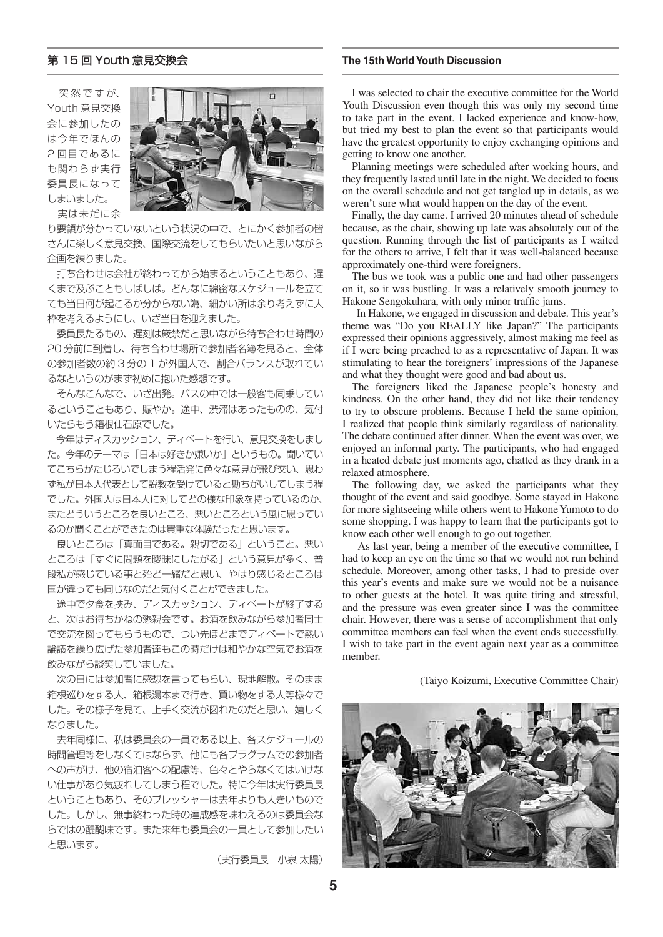突 然 で す が、 Youth 意見交換 会に参加したの は今年でほんの 2 回目であるに も関わらず実行 委員長になって しまいました。 実は未だに余



り要領が分かっていないという状況の中で、とにかく参加者の皆 さんに楽しく意見交換、国際交流をしてもらいたいと思いながら 企画を練りました。

 打ち合わせは会社が終わってから始まるということもあり、遅 くまで及ぶこともしばしば。どんなに綿密なスケジュールを立て ても当日何が起こるか分からない為、細かい所は余り考えずに大 枠を考えるようにし、いざ当日を迎えました。

 委員長たるもの、遅刻は厳禁だと思いながら待ち合わせ時間の 20 分前に到着し、待ち合わせ場所で参加者名簿を見ると、全体 の参加者数の約 3 分の 1 が外国人で、割合バランスが取れてい るなというのがまず初めに抱いた感想です。

 そんなこんなで、いざ出発。バスの中では一般客も同乗してい るということもあり、賑やか。途中、渋滞はあったものの、気付 いたらもう箱根仙石原でした。

 今年はディスカッション、ディベートを行い、意見交換をしまし た。今年のテーマは「日本は好きか嫌いか」というもの。聞いてい てこちらがたじろいでしまう程活発に色々な意見が飛び交い、思わ ず私が日本人代表として説教を受けていると勘ちがいしてしまう程 でした。外国人は日本人に対してどの様な印象を持っているのか、 またどういうところを良いところ、悪いところという風に思ってい るのか聞くことができたのは貴重な体験だったと思います。

 良いところは「真面目である。親切である」ということ。悪い ところは「すぐに問題を曖昧にしたがる」という意見が多く、普 段私が感じている事と殆ど一緒だと思い、やはり感じるところは 国が違っても同じなのだと気付くことができました。

 途中で夕食を挟み、ディスカッション、ディベートが終了する と、次はお待ちかねの懇親会です。お酒を飲みながら参加者同士 で交流を図ってもらうもので、つい先ほどまでディベートで熱い 論議を繰り広げた参加者達もこの時だけは和やかな空気でお酒を 飲みながら談笑していました。

 次の日には参加者に感想を言ってもらい、現地解散。そのまま 箱根巡りをする人、箱根湯本まで行き、買い物をする人等様々で した。その様子を見て、上手く交流が図れたのだと思い、嬉しく なりました。

 去年同様に、私は委員会の一員である以上、各スケジュールの 時間管理等をしなくてはならず、他にも各プラグラムでの参加者 への声がけ、他の宿泊客への配慮等、色々とやらなくてはいけな い仕事があり気疲れしてしまう程でした。特に今年は実行委員長 ということもあり、そのプレッシャーは去年よりも大きいもので した。しかし、無事終わった時の達成感を味わえるのは委員会な らではの醍醐味です。また来年も委員会の一員として参加したい と思います。

(実行委員長 小泉 太陽)

# 第 15 回 Youth 意見交換会 **The 15th World Youth Discussion**

I was selected to chair the executive committee for the World Youth Discussion even though this was only my second time to take part in the event. I lacked experience and know-how, but tried my best to plan the event so that participants would have the greatest opportunity to enjoy exchanging opinions and getting to know one another.

Planning meetings were scheduled after working hours, and they frequently lasted until late in the night. We decided to focus on the overall schedule and not get tangled up in details, as we weren't sure what would happen on the day of the event.

Finally, the day came. I arrived 20 minutes ahead of schedule because, as the chair, showing up late was absolutely out of the question. Running through the list of participants as I waited for the others to arrive, I felt that it was well-balanced because approximately one-third were foreigners.

The bus we took was a public one and had other passengers on it, so it was bustling. It was a relatively smooth journey to Hakone Sengokuhara, with only minor traffic jams.

 In Hakone, we engaged in discussion and debate. This year's theme was "Do you REALLY like Japan?" The participants expressed their opinions aggressively, almost making me feel as if I were being preached to as a representative of Japan. It was stimulating to hear the foreigners' impressions of the Japanese and what they thought were good and bad about us.

The foreigners liked the Japanese people's honesty and kindness. On the other hand, they did not like their tendency to try to obscure problems. Because I held the same opinion, I realized that people think similarly regardless of nationality. The debate continued after dinner. When the event was over, we enjoyed an informal party. The participants, who had engaged in a heated debate just moments ago, chatted as they drank in a relaxed atmosphere.

The following day, we asked the participants what they thought of the event and said goodbye. Some stayed in Hakone for more sightseeing while others went to Hakone Yumoto to do some shopping. I was happy to learn that the participants got to know each other well enough to go out together.

 As last year, being a member of the executive committee, I had to keep an eye on the time so that we would not run behind schedule. Moreover, among other tasks, I had to preside over this year's events and make sure we would not be a nuisance to other guests at the hotel. It was quite tiring and stressful, and the pressure was even greater since I was the committee chair. However, there was a sense of accomplishment that only committee members can feel when the event ends successfully. I wish to take part in the event again next year as a committee member.

(Taiyo Koizumi, Executive Committee Chair)

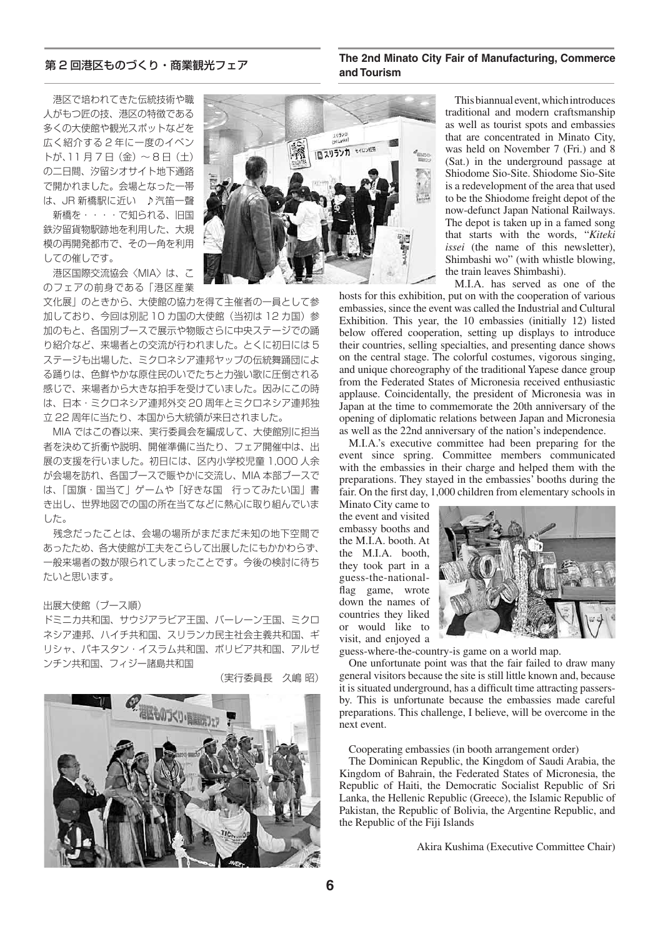# **and Tourism** 第 2 回港区ものづくり・商業観光フェア

**The 2nd Minato City Fair of Manufacturing, Commerce** 

 港区で培われてきた伝統技術や職 人がもつ匠の技、港区の特徴である 多くの大使館や観光スポットなどを 広く紹介する 2 年に一度のイベン トが、11 月 7 日(金)~ 8 日(土) の二日間、汐留シオサイト地下通路 で開かれました。会場となった一帯 は、JR 新橋駅に近い ♪汽笛一聲 新橋を・・・・で知られる、旧国

鉄汐留貨物駅跡地を利用した、大規 模の再開発都市で、その一角を利用 しての催しです。

 港区国際交流協会〈MIA〉は、こ のフェアの前身である「港区産業

文化展」のときから、大使館の協力を得て主催者の一員として参 加しており、今回は別記 10 カ国の大使館(当初は 12 カ国)参 加のもと、各国別ブースで展示や物販さらに中央ステージでの踊 り紹介など、来場者との交流が行われました。とくに初日には 5 ステージも出場した、ミクロネシア連邦ヤップの伝統舞踊団によ る踊りは、色鮮やかな原住民のいでたちと力強い歌に圧倒される 感じで、来場者から大きな拍手を受けていました。因みにこの時 は、日本・ミクロネシア連邦外交 20 周年とミクロネシア連邦独 立 22 周年に当たり、本国から大統領が来日されました。

 MIA ではこの春以来、実行委員会を編成して、大使館別に担当 者を決めて折衝や説明、開催準備に当たり、フェア開催中は、出 展の支援を行いました。初日には、区内小学校児童 1,000 人余 が会場を訪れ、各国ブースで賑やかに交流し、MIA 本部ブースで は、「国旗・国当て」ゲームや「好きな国 行ってみたい国」書 き出し、世界地図での国の所在当てなどに熱心に取り組んでいま した。

 残念だったことは、会場の場所がまだまだ未知の地下空間で あったため、各大使館が工夫をこらして出展したにもかかわらず、 一般来場者の数が限られてしまったことです。今後の検討に待ち たいと思います。

# 出展大使館 (ブース順)

ドミニカ共和国、サウジアラビア王国、バーレーン王国、ミクロ ネシア連邦、ハイチ共和国、スリランカ民主社会主義共和国、ギ リシャ、パキスタン・イスラム共和国、ボリビア共和国、アルゼ ンチン共和国、フィジー諸島共和国

(実行委員長 久嶋 昭)





This biannual event, which introduces traditional and modern craftsmanship as well as tourist spots and embassies that are concentrated in Minato City, was held on November 7 (Fri.) and 8 (Sat.) in the underground passage at Shiodome Sio-Site. Shiodome Sio-Site is a redevelopment of the area that used to be the Shiodome freight depot of the now-defunct Japan National Railways. The depot is taken up in a famed song that starts with the words, "*Kiteki issei* (the name of this newsletter), Shimbashi wo" (with whistle blowing, the train leaves Shimbashi).

M.I.A. has served as one of the hosts for this exhibition, put on with the cooperation of various embassies, since the event was called the Industrial and Cultural Exhibition. This year, the 10 embassies (initially 12) listed below offered cooperation, setting up displays to introduce their countries, selling specialties, and presenting dance shows on the central stage. The colorful costumes, vigorous singing, and unique choreography of the traditional Yapese dance group from the Federated States of Micronesia received enthusiastic applause. Coincidentally, the president of Micronesia was in Japan at the time to commemorate the 20th anniversary of the opening of diplomatic relations between Japan and Micronesia as well as the 22nd anniversary of the nation's independence.

M.I.A.'s executive committee had been preparing for the event since spring. Committee members communicated with the embassies in their charge and helped them with the preparations. They stayed in the embassies' booths during the fair. On the first day, 1,000 children from elementary schools in

Minato City came to the event and visited embassy booths and the M.I.A. booth. At the M.I.A. booth, they took part in a guess-the-nationalflag game, wrote down the names of countries they liked or would like to visit, and enjoyed a



guess-where-the-country-is game on a world map.

One unfortunate point was that the fair failed to draw many general visitors because the site is still little known and, because it is situated underground, has a difficult time attracting passersby. This is unfortunate because the embassies made careful preparations. This challenge, I believe, will be overcome in the next event.

Cooperating embassies (in booth arrangement order)

The Dominican Republic, the Kingdom of Saudi Arabia, the Kingdom of Bahrain, the Federated States of Micronesia, the Republic of Haiti, the Democratic Socialist Republic of Sri Lanka, the Hellenic Republic (Greece), the Islamic Republic of Pakistan, the Republic of Bolivia, the Argentine Republic, and the Republic of the Fiji Islands

Akira Kushima (Executive Committee Chair)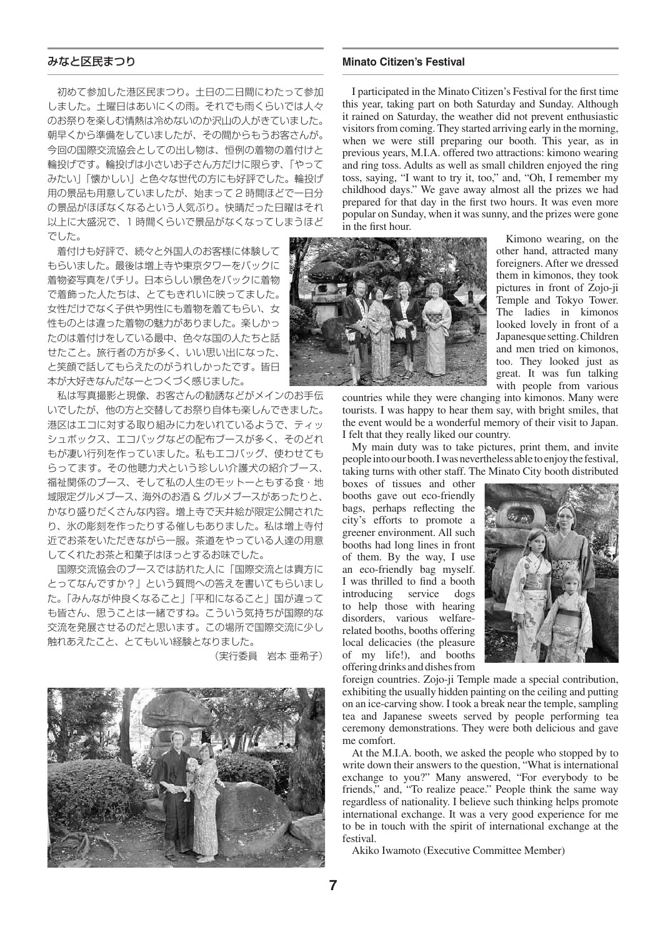初めて参加した港区民まつり。土日の二日間にわたって参加 しました。土曜日はあいにくの雨。それでも雨くらいでは人々 のお祭りを楽しむ情熱は冷めないのか沢山の人がきていました。 朝早くから準備をしていましたが、その間からもうお客さんが。 今回の国際交流協会としての出し物は、恒例の着物の着付けと 輪投げです。輪投げは小さいお子さん方だけに限らず、「やって みたい」「懐かしい」と色々な世代の方にも好評でした。輪投げ 用の景品も用意していましたが、始まって 2 時間ほどで一日分 の景品がほぼなくなるという人気ぶり。快晴だった日曜はそれ 以上に大盛況で、1 時間くらいで景品がなくなってしまうほど でした。

 着付けも好評で、続々と外国人のお客様に体験して もらいました。最後は増上寺や東京タワーをバックに 着物姿写真をパチリ。日本らしい景色をバックに着物 で着飾った人たちは、とてもきれいに映ってました。 女性だけでなく子供や男性にも着物を着てもらい、女 性ものとは違った着物の魅力がありました。楽しかっ たのは着付けをしている最中、色々な国の人たちと話 せたこと。旅行者の方が多く、いい思い出になった、 と笑顔で話してもらえたのがうれしかったです。皆日 本が大好きなんだなーとつくづく感じました。

 私は写真撮影と現像、お客さんの勧誘などがメインのお手伝 いでしたが、他の方と交替してお祭り自体も楽しんできました。 港区はエコに対する取り組みに力をいれているようで、ティッ シュボックス、エコバッグなどの配布ブースが多く、そのどれ もが凄い行列を作っていました。私もエコバッグ、使わせても らってます。その他聴力犬という珍しい介護犬の紹介ブース、 福祉関係のブース、そして私の人生のモットーともする食・地 域限定グルメブース、海外のお酒 & グルメブースがあったりと、 かなり盛りだくさんな内容。増上寺で天井絵が限定公開された り、氷の彫刻を作ったりする催しもありました。私は増上寺付 近でお茶をいただきながら一服。茶道をやっている人達の用意 してくれたお茶と和菓子はほっとするお味でした。

 国際交流協会のブースでは訪れた人に「国際交流とは貴方に とってなんですか?」という質問への答えを書いてもらいまし た。「みんなが仲良くなること」「平和になること」国が違って も皆さん、思うことは一緒ですね。こういう気持ちが国際的な 交流を発展させるのだと思います。この場所で国際交流に少し 触れあえたこと、とてもいい経験となりました。

(実行委員 岩本 亜希子)



### みなと区民まつり **Minato Citizen's Festival**

I participated in the Minato Citizen's Festival for the first time this year, taking part on both Saturday and Sunday. Although it rained on Saturday, the weather did not prevent enthusiastic visitors from coming. They started arriving early in the morning, when we were still preparing our booth. This year, as in previous years, M.I.A. offered two attractions: kimono wearing and ring toss. Adults as well as small children enjoyed the ring toss, saying, "I want to try it, too," and, "Oh, I remember my childhood days." We gave away almost all the prizes we had prepared for that day in the first two hours. It was even more popular on Sunday, when it was sunny, and the prizes were gone in the first hour.



Kimono wearing, on the other hand, attracted many foreigners. After we dressed them in kimonos, they took pictures in front of Zojo-ji Temple and Tokyo Tower. The ladies in kimonos looked lovely in front of a Japanesque setting. Children and men tried on kimonos, too. They looked just as great. It was fun talking with people from various

countries while they were changing into kimonos. Many were tourists. I was happy to hear them say, with bright smiles, that the event would be a wonderful memory of their visit to Japan. I felt that they really liked our country.

My main duty was to take pictures, print them, and invite people into our booth. I was nevertheless able to enjoy the festival, taking turns with other staff. The Minato City booth distributed

boxes of tissues and other booths gave out eco-friendly bags, perhaps reflecting the city's efforts to promote a greener environment. All such booths had long lines in front of them. By the way, I use an eco-friendly bag myself. I was thrilled to find a booth introducing service dogs to help those with hearing disorders, various welfarerelated booths, booths offering local delicacies (the pleasure of my life!), and booths offering drinks and dishes from



foreign countries. Zojo-ji Temple made a special contribution, exhibiting the usually hidden painting on the ceiling and putting on an ice-carving show. I took a break near the temple, sampling tea and Japanese sweets served by people performing tea ceremony demonstrations. They were both delicious and gave me comfort.

At the M.I.A. booth, we asked the people who stopped by to write down their answers to the question, "What is international exchange to you?" Many answered, "For everybody to be friends," and, "To realize peace." People think the same way regardless of nationality. I believe such thinking helps promote international exchange. It was a very good experience for me to be in touch with the spirit of international exchange at the festival.

Akiko Iwamoto (Executive Committee Member)